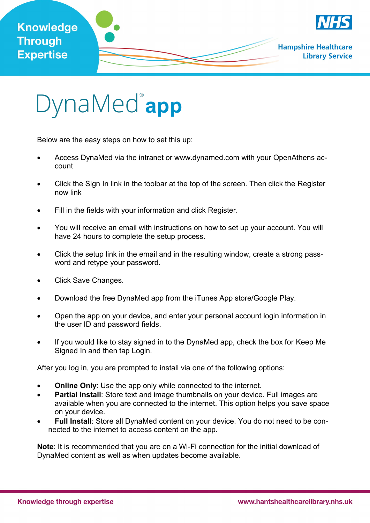



Below are the easy steps on how to set this up:

- Access DynaMed via the intranet or www.dynamed.com with your OpenAthens account
- Click the Sign In link in the toolbar at the top of the screen. Then click the Register now link
- Fill in the fields with your information and click Register.
- You will receive an email with instructions on how to set up your account. You will have 24 hours to complete the setup process.
- Click the setup link in the email and in the resulting window, create a strong password and retype your password.
- Click Save Changes.
- Download the free DynaMed app from the iTunes App store/Google Play.
- Open the app on your device, and enter your personal account login information in the user ID and password fields.
- If you would like to stay signed in to the DynaMed app, check the box for Keep Me Signed In and then tap Login.

After you log in, you are prompted to install via one of the following options:

- **Online Only:** Use the app only while connected to the internet.
- **Partial Install**: Store text and image thumbnails on your device. Full images are available when you are connected to the internet. This option helps you save space on your device.
- **Full Install**: Store all DynaMed content on your device. You do not need to be connected to the internet to access content on the app.

**Note**: It is recommended that you are on a Wi-Fi connection for the initial download of DynaMed content as well as when updates become available.